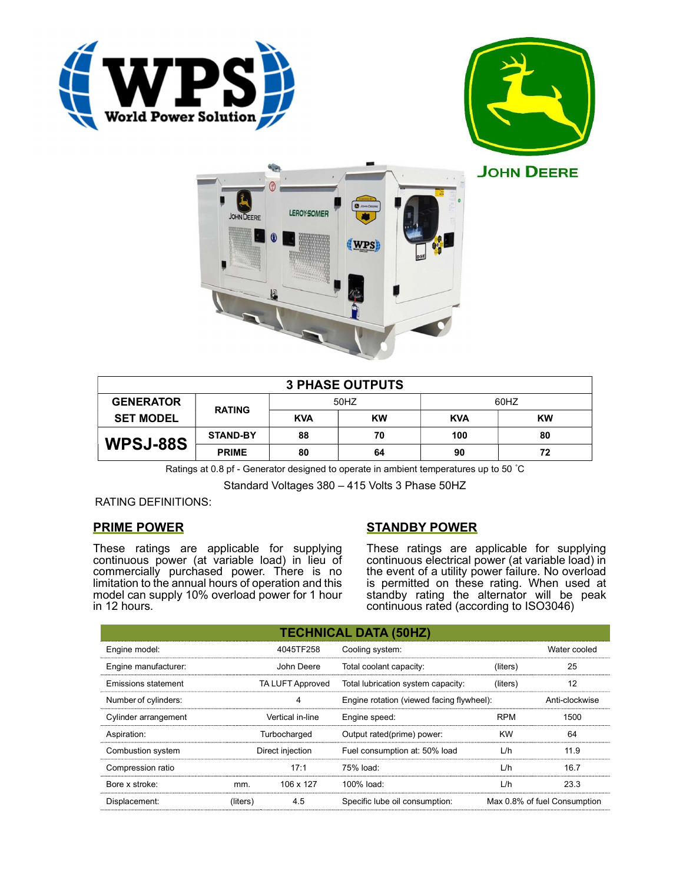





| <b>3 PHASE OUTPUTS</b> |                 |            |    |            |           |  |  |
|------------------------|-----------------|------------|----|------------|-----------|--|--|
| <b>GENERATOR</b>       | <b>RATING</b>   | 50HZ       |    | 60HZ       |           |  |  |
| <b>SET MODEL</b>       |                 | <b>KVA</b> | KW | <b>KVA</b> | <b>KW</b> |  |  |
| WPSJ-88S               | <b>STAND-BY</b> | 88         | 70 | 100        | 80        |  |  |
|                        | <b>PRIME</b>    | 80         | 64 | 90         | 72        |  |  |

Ratings at 0.8 pf - Generator designed to operate in ambient temperatures up to 50 °C

Standard Voltages 380 – 415 Volts 3 Phase 50HZ

### RATING DEFINITIONS:

## PRIME POWER

These ratings are applicable for supplying continuous power (at variable load) in lieu of commercially purchased power. There is no limitation to the annual hours of operation and this model can supply 10% overload power for 1 hour in 12 hours.

# STANDBY POWER

These ratings are applicable for supplying continuous electrical power (at variable load) in the event of a utility power failure. No overload is permitted on these rating. When used at standby rating the alternator will be peak continuous rated (according to ISO3046)

| <b>TECHNICAL DATA (50HZ)</b> |                  |                  |                                           |            |                              |  |  |
|------------------------------|------------------|------------------|-------------------------------------------|------------|------------------------------|--|--|
| Engine model:                |                  | 4045TF258        | Cooling system:                           |            | Water cooled                 |  |  |
| Engine manufacturer:         |                  | John Deere       | Total coolant capacity:                   | (liters)   | 25                           |  |  |
| Emissions statement          |                  | TA LUFT Approved | Total lubrication system capacity:        | (liters)   | 12                           |  |  |
| Number of cylinders:         | 4                |                  | Engine rotation (viewed facing flywheel): |            | Anti-clockwise               |  |  |
| Cylinder arrangement         | Vertical in-line |                  | Engine speed:                             | <b>RPM</b> | 1500                         |  |  |
| Aspiration:                  | Turbocharged     |                  | Output rated(prime) power:                | <b>KW</b>  | 64                           |  |  |
| Combustion system            | Direct injection |                  | Fuel consumption at: 50% load             | L/h        | 11.9                         |  |  |
| Compression ratio            |                  | 17:1             | 75% load:                                 | L/h        | 16.7                         |  |  |
| Bore x stroke:               | mm.              | 106 x 127        | 100% load:                                | L/h        | 23.3                         |  |  |
| Displacement:                | (liters)         | 4.5              | Specific lube oil consumption:            |            | Max 0.8% of fuel Consumption |  |  |